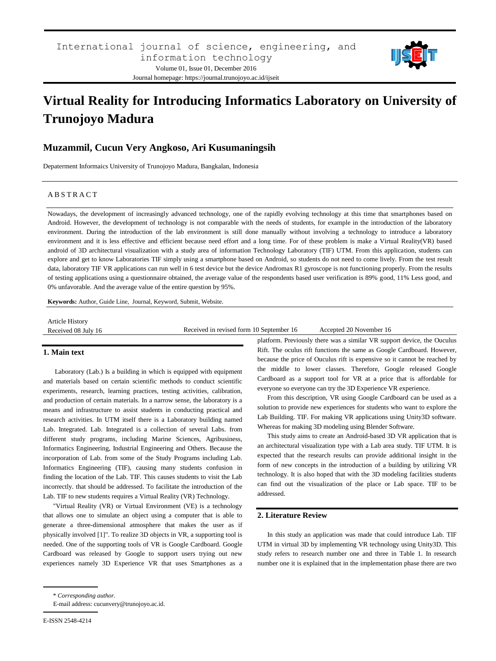

# **Virtual Reality for Introducing Informatics Laboratory on University of Trunojoyo Madura**

# **Muzammil, Cucun Very Angkoso, Ari Kusumaningsih**

Depaterment Informaics University of Trunojoyo Madura, Bangkalan, Indonesia

#### A B S T R A C T

Nowadays, the development of increasingly advanced technology, one of the rapidly evolving technology at this time that smartphones based on Android. However, the development of technology is not comparable with the needs of students, for example in the introduction of the laboratory environment. During the introduction of the lab environment is still done manually without involving a technology to introduce a laboratory environment and it is less effective and efficient because need effort and a long time. For of these problem is make a Virtual Reality(VR) based android of 3D architectural visualization with a study area of information Technology Laboratory (TIF) UTM. From this application, students can explore and get to know Laboratories TIF simply using a smartphone based on Android, so students do not need to come lively. From the test result data, laboratory TIF VR applications can run well in 6 test device but the device Andromax R1 gyroscope is not functioning properly. From the results of testing applications using a questionnaire obtained, the average value of the respondents based user verification is 89% good, 11% Less good, and 0% unfavorable. And the average value of the entire question by 95%.

**Keywords:** Author, Guide Line, Journal, Keyword, Submit, Website.

| Article History     |                                          |                         |
|---------------------|------------------------------------------|-------------------------|
| Received 08 July 16 | Received in revised form 10 September 16 | Accepted 20 November 16 |

## **1. Main text**

Laboratory (Lab.) Is a building in which is equipped with equipment and materials based on certain scientific methods to conduct scientific experiments, research, learning practices, testing activities, calibration, and production of certain materials. In a narrow sense, the laboratory is a means and infrastructure to assist students in conducting practical and research activities. In UTM itself there is a Laboratory building named Lab. Integrated. Lab. Integrated is a collection of several Labs. from different study programs, including Marine Sciences, Agribusiness, Informatics Engineering, Industrial Engineering and Others. Because the incorporation of Lab. from some of the Study Programs including Lab. Informatics Engineering (TIF), causing many students confusion in finding the location of the Lab. TIF. This causes students to visit the Lab incorrectly. that should be addressed. To facilitate the introduction of the Lab. TIF to new students requires a Virtual Reality (VR) Technology.

"Virtual Reality (VR) or Virtual Environment (VE) is a technology that allows one to simulate an object using a computer that is able to generate a three-dimensional atmosphere that makes the user as if physically involved [1]". To realize 3D objects in VR, a supporting tool is needed. One of the supporting tools of VR is Google Cardboard. Google Cardboard was released by Google to support users trying out new experiences namely 3D Experience VR that uses Smartphones as a platform. Previously there was a similar VR support device, the Ouculus Rift. The oculus rift functions the same as Google Cardboard. However, because the price of Ouculus rift is expensive so it cannot be reached by the middle to lower classes. Therefore, Google released Google Cardboard as a support tool for VR at a price that is affordable for everyone so everyone can try the 3D Experience VR experience.

From this description, VR using Google Cardboard can be used as a solution to provide new experiences for students who want to explore the Lab Building. TIF. For making VR applications using Unity3D software. Whereas for making 3D modeling using Blender Software.

This study aims to create an Android-based 3D VR application that is an architectural visualization type with a Lab area study. TIF UTM. It is expected that the research results can provide additional insight in the form of new concepts in the introduction of a building by utilizing VR technology. It is also hoped that with the 3D modeling facilities students can find out the visualization of the place or Lab space. TIF to be addressed.

# **2. Literature Review**

In this study an application was made that could introduce Lab. TIF UTM in virtual 3D by implementing VR technology using Unity3D. This study refers to research number one and three in Table 1. In research number one it is explained that in the implementation phase there are two

<sup>\*</sup> *Corresponding author.*

E-mail address: cucunvery@trunojoyo.ac.id.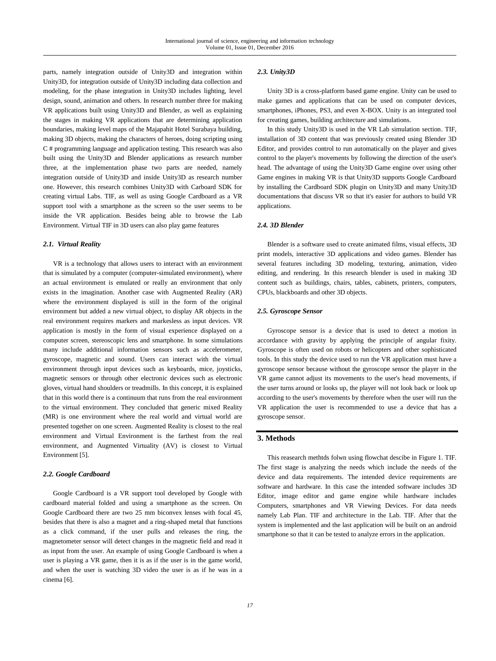parts, namely integration outside of Unity3D and integration within Unity3D, for integration outside of Unity3D including data collection and modeling, for the phase integration in Unity3D includes lighting, level design, sound, animation and others. In research number three for making VR applications built using Unity3D and Blender, as well as explaining the stages in making VR applications that are determining application boundaries, making level maps of the Majapahit Hotel Surabaya building, making 3D objects, making the characters of heroes, doing scripting using C # programming language and application testing. This research was also built using the Unity3D and Blender applications as research number three, at the implementation phase two parts are needed, namely integration outside of Unity3D and inside Unity3D as research number one. However, this research combines Unity3D with Carboard SDK for creating virtual Labs. TIF, as well as using Google Cardboard as a VR support tool with a smartphone as the screen so the user seems to be inside the VR application. Besides being able to browse the Lab Environment. Virtual TIF in 3D users can also play game features

#### *2.1. Virtual Reality*

VR is a technology that allows users to interact with an environment that is simulated by a computer (computer-simulated environment), where an actual environment is emulated or really an environment that only exists in the imagination. Another case with Augmented Reality (AR) where the environment displayed is still in the form of the original environment but added a new virtual object, to display AR objects in the real environment requires markers and markesless as input devices. VR application is mostly in the form of visual experience displayed on a computer screen, stereoscopic lens and smartphone. In some simulations many include additional information sensors such as accelerometer, gyroscope, magnetic and sound. Users can interact with the virtual environment through input devices such as keyboards, mice, joysticks, magnetic sensors or through other electronic devices such as electronic gloves, virtual hand shoulders or treadmills. In this concept, it is explained that in this world there is a continuum that runs from the real environment to the virtual environment. They concluded that generic mixed Reality (MR) is one environment where the real world and virtual world are presented together on one screen. Augmented Reality is closest to the real environment and Virtual Environment is the farthest from the real environment, and Augmented Virtuality (AV) is closest to Virtual Environment [5].

#### *2.2. Google Cardboard*

Google Cardboard is a VR support tool developed by Google with cardboard material folded and using a smartphone as the screen. On Google Cardboard there are two 25 mm biconvex lenses with focal 45, besides that there is also a magnet and a ring-shaped metal that functions as a click command, if the user pulls and releases the ring, the magnetometer sensor will detect changes in the magnetic field and read it as input from the user. An example of using Google Cardboard is when a user is playing a VR game, then it is as if the user is in the game world, and when the user is watching 3D video the user is as if he was in a cinema [6].

#### *2.3. Unity3D*

Unity 3D is a cross-platform based game engine. Unity can be used to make games and applications that can be used on computer devices, smartphones, iPhones, PS3, and even X-BOX. Unity is an integrated tool for creating games, building architecture and simulations.

In this study Unity3D is used in the VR Lab simulation section. TIF, installation of 3D content that was previously created using Blender 3D Editor, and provides control to run automatically on the player and gives control to the player's movements by following the direction of the user's head. The advantage of using the Unity3D Game engine over using other Game engines in making VR is that Unity3D supports Google Cardboard by installing the Cardboard SDK plugin on Unity3D and many Unity3D documentations that discuss VR so that it's easier for authors to build VR applications.

## *2.4. 3D Blender*

Blender is a software used to create animated films, visual effects, 3D print models, interactive 3D applications and video games. Blender has several features including 3D modeling, texturing, animation, video editing, and rendering. In this research blender is used in making 3D content such as buildings, chairs, tables, cabinets, printers, computers, CPUs, blackboards and other 3D objects.

#### *2.5. Gyroscope Sensor*

Gyroscope sensor is a device that is used to detect a motion in accordance with gravity by applying the principle of angular fixity. Gyroscope is often used on robots or helicopters and other sophisticated tools. In this study the device used to run the VR application must have a gyroscope sensor because without the gyroscope sensor the player in the VR game cannot adjust its movements to the user's head movements, if the user turns around or looks up, the player will not look back or look up according to the user's movements by therefore when the user will run the VR application the user is recommended to use a device that has a gyroscope sensor.

#### **3. Methods**

This reasearch methtds folwn using flowchat descibe in Figure 1. TIF. The first stage is analyzing the needs which include the needs of the device and data requirements. The intended device requirements are software and hardware. In this case the intended software includes 3D Editor, image editor and game engine while hardware includes Computers, smartphones and VR Viewing Devices. For data needs namely Lab Plan. TIF and architecture in the Lab. TIF. After that the system is implemented and the last application will be built on an android smartphone so that it can be tested to analyze errors in the application.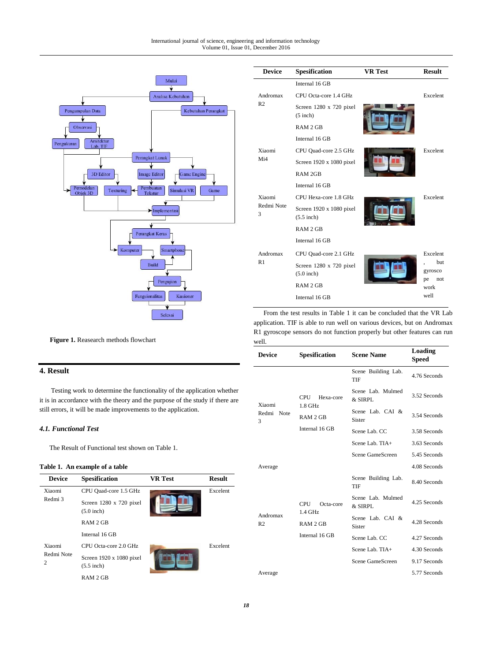

| <b>Device</b>   | Spesification                            | <b>VR</b> Test | <b>Result</b>                      |
|-----------------|------------------------------------------|----------------|------------------------------------|
|                 | Internal 16 GB                           |                |                                    |
| Andromax        | CPU Octa-core 1.4 GHz                    |                | Excelent                           |
| R <sub>2</sub>  | Screen 1280 x 720 pixel<br>$(5$ inch)    |                |                                    |
|                 | RAM 2 GB                                 |                |                                    |
|                 | Internal 16 GB                           |                |                                    |
| Xiaomi          | CPU Quad-core 2.5 GHz                    |                | Excelent                           |
| Mi4             | Screen 1920 x 1080 pixel                 |                |                                    |
|                 | RAM 2GB                                  |                |                                    |
|                 | Internal 16 GB                           |                |                                    |
| Xiaomi          | CPU Hexa-core 1.8 GHz                    |                | Excelent                           |
| Redmi Note<br>3 | Screen 1920 x 1080 pixel<br>$(5.5$ inch) |                |                                    |
|                 | RAM 2 GB                                 |                |                                    |
|                 | Internal 16 GB                           |                |                                    |
| Andromax        | CPU Quad-core 2.1 GHz                    |                | Excelent                           |
| R <sub>1</sub>  | Screen 1280 x 720 pixel<br>$(5.0$ inch)  |                | <b>but</b><br>gyrosco<br>pe<br>not |
|                 | RAM 2 GB                                 |                | work                               |
|                 | Internal 16 GB                           |                | well                               |

From the test results in Table 1 it can be concluded that the VR Lab application. TIF is able to run well on various devices, but on Andromax R1 gyroscope sensors do not function properly but other features can run well.

| <b>Device</b>                                                         | Spesification              | <b>Scene Name</b>            | Loading<br>Speed |
|-----------------------------------------------------------------------|----------------------------|------------------------------|------------------|
|                                                                       |                            | Scene Building Lab.<br>TIF   | 4.76 Seconds     |
| Xiaomi                                                                | <b>CPU</b><br>Hexa-core    | Scene Lab. Mulmed<br>& SIRPL | 3.52 Seconds     |
| Redmi Note<br>3                                                       | $1.8$ GHz<br>RAM 2 GB      | Scene Lab. CAI &<br>Sister   | 3.54 Seconds     |
|                                                                       | Internal 16 GB             | Scene Lab. CC                | 3.58 Seconds     |
|                                                                       |                            | Scene Lab. TIA+              | 3.63 Seconds     |
|                                                                       |                            | Scene GameScreen             | 5.45 Seconds     |
| Average                                                               |                            |                              | 4.08 Seconds     |
|                                                                       | Scene Building Lab.<br>TIF | 8.40 Seconds                 |                  |
|                                                                       | <b>CPU</b><br>Octa-core    | Scene Lab. Mulmed<br>& SIRPL | 4.25 Seconds     |
| $1.4$ GHz<br>Andromax<br>R <sub>2</sub><br>RAM 2 GB<br>Internal 16 GB |                            | Scene Lab. CAI &<br>Sister   | 4.28 Seconds     |
|                                                                       |                            | Scene Lab. CC                | 4.27 Seconds     |
|                                                                       |                            | Scene Lab. TIA+              | 4.30 Seconds     |
|                                                                       |                            | Scene GameScreen             | 9.17 Seconds     |
| Average                                                               |                            |                              | 5.77 Seconds     |

## **Figure 1.** Reasearch methods flowchart

# **4. Result**

Testing work to determine the functionality of the application whether it is in accordance with the theory and the purpose of the study if there are still errors, it will be made improvements to the application.

## *4.1. Functional Test*

The Result of Functional test shown on Table 1.

### **Table 1. An example of a table**

| <b>Device</b>   | <b>Spesification</b>                     | <b>VR</b> Test | <b>Result</b> |
|-----------------|------------------------------------------|----------------|---------------|
| Xiaomi          | CPU Quad-core 1.5 GHz                    |                | Excelent      |
| Redmi 3         | Screen 1280 x 720 pixel<br>$(5.0$ inch)  |                |               |
|                 | RAM 2 GB                                 |                |               |
|                 | Internal 16 GB                           |                |               |
| Xiaomi          | CPU Octa-core 2.0 GHz                    |                | Excelent      |
| Redmi Note<br>2 | Screen 1920 x 1080 pixel<br>$(5.5$ inch) |                |               |
|                 | RAM 2 GB                                 |                |               |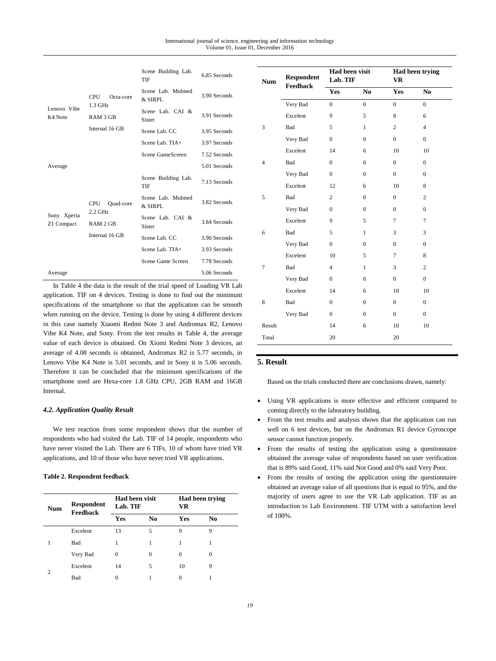|                           |                                    | Scene Building Lab.<br>TIF   | 6.85 Seconds |
|---------------------------|------------------------------------|------------------------------|--------------|
|                           | <b>CPU</b><br>Octa-core<br>1.3 GHz | Scene Lab. Mulmed<br>& SIRPL | 3.90 Seconds |
| Lenovo Vibe<br>K4 Note    | RAM 3 GB                           | Scene Lab. CAI &<br>Sister   | 3.91 Seconds |
|                           | Internal 16 GB                     | Scene Lab. CC                | 3.95 Seconds |
|                           |                                    | Scene Lab. TIA+              | 3.97 Seconds |
|                           |                                    | Scene GameScreen             | 7.52 Seconds |
| Average                   |                                    |                              | 5.01 Seconds |
|                           |                                    | Scene Building Lab.<br>TIF   | 7.13 Seconds |
|                           |                                    |                              |              |
|                           | CPU<br>Quad-core                   | Scene Lab. Mulmed<br>& SIRPL | 3.82 Seconds |
| Sony Xperia<br>Z1 Compact | $2.2$ GHz<br>RAM 2 GB              | Scene Lab. CAI &<br>Sister   | 3.84 Seconds |
|                           | Internal 16 GB                     | Scene Lab. CC                | 3.90 Seconds |
|                           |                                    | Scene Lab. TIA+              | 3.93 Seconds |
|                           |                                    | Scene Game Screen            | 7.78 Seconds |

In Table 4 the data is the result of the trial speed of Loading VR Lab application. TIF on 4 devices. Testing is done to find out the minimum specifications of the smartphone so that the application can be smooth when running on the device. Testing is done by using 4 different devices in this case namely Xiaomi Redmi Note 3 and Andromax R2, Lenovo Vibe K4 Note, and Sony. From the test results in Table 4, the average value of each device is obtained. On Xiomi Redmi Note 3 devices, an average of 4.08 seconds is obtained, Andromax R2 is 5.77 seconds, in Lenovo Vibe K4 Note is 5.01 seconds, and in Sony it is 5.06 seconds. Therefore it can be concluded that the minimum specifications of the smartphone used are Hexa-core 1.8 GHz CPU, 2GB RAM and 16GB Internal.

#### *4.2. Application Quality Result*

We test reaction from some respondent shows that the number of respondents who had visited the Lab. TIF of 14 people, respondents who have never visited the Lab. There are 6 TIFs, 10 of whom have tried VR applications, and 10 of those who have never tried VR applications.

#### **Table 2. Respondent feedback**

| <b>Num</b> | <b>Respondent</b><br>Feedback | <b>Had been visit</b><br>Lab. TIF |    | Had been trying<br>VR |    |
|------------|-------------------------------|-----------------------------------|----|-----------------------|----|
|            |                               | <b>Yes</b>                        | No | Yes                   | No |
|            | Excelent                      | 13                                | 5  | 9                     | 9  |
|            | <b>Bad</b>                    |                                   |    | 1                     |    |
|            | Very Bad                      | 0                                 | 0  | $\mathbf{0}$          | 0  |
| 2          | Excelent                      | 14                                | 5  | 10                    | 9  |
|            | Bad                           | 0                                 |    | 0                     |    |

| <b>Num</b>     | <b>Respondent</b><br><b>Feedback</b> | Had been visit<br>Lab. TIF |                | <b>Had been trying</b><br><b>VR</b> |                |
|----------------|--------------------------------------|----------------------------|----------------|-------------------------------------|----------------|
|                |                                      | Yes                        | N <sub>0</sub> | Yes                                 | N <sub>0</sub> |
|                | Very Bad                             | $\overline{0}$             | $\overline{0}$ | $\overline{0}$                      | $\overline{0}$ |
|                | Excelent                             | 9                          | 5              | 8                                   | 6              |
| 3              | Bad                                  | 5                          | 1              | $\mathbf{2}$                        | $\overline{4}$ |
|                | Very Bad                             | $\mathbf{0}$               | $\Omega$       | $\overline{0}$                      | $\theta$       |
|                | Excelent                             | 14                         | 6              | 10                                  | 10             |
| $\overline{4}$ | Bad                                  | $\theta$                   | $\Omega$       | $\Omega$                            | $\Omega$       |
|                | Very Bad                             | $\overline{0}$             | $\Omega$       | $\mathbf{0}$                        | $\Omega$       |
|                | Excelent                             | 12                         | 6              | 10                                  | 8              |
| 5              | Bad                                  | $\overline{c}$             | $\mathbf{0}$   | $\mathbf{0}$                        | $\overline{c}$ |
|                | Very Bad                             | $\mathbf{0}$               | $\mathbf{0}$   | $\mathbf{0}$                        | $\overline{0}$ |
|                | Excelent                             | 9                          | 5              | $\overline{7}$                      | $\overline{7}$ |
| 6              | Bad                                  | 5                          | $\mathbf{1}$   | 3                                   | 3              |
|                | Very Bad                             | $\boldsymbol{0}$           | $\mathbf{0}$   | $\mathbf{0}$                        | $\Omega$       |
|                | Excelent                             | 10                         | 5              | 7                                   | 8              |
| $\overline{7}$ | Bad                                  | $\overline{4}$             | $\mathbf{1}$   | 3                                   | $\overline{c}$ |
|                | Very Bad                             | $\boldsymbol{0}$           | $\mathbf{0}$   | $\boldsymbol{0}$                    | $\overline{0}$ |
|                | Excelent                             | 14                         | 6              | 10                                  | 10             |
| 8              | Bad                                  | $\overline{0}$             | $\mathbf{0}$   | $\boldsymbol{0}$                    | $\mathbf{0}$   |
|                | Very Bad                             | $\mathbf{0}$               | $\mathbf{0}$   | $\overline{0}$                      | $\Omega$       |
| Result         |                                      | 14                         | 6              | 10                                  | 10             |
| Total          |                                      | 20                         |                | 20                                  |                |

# **5. Result**

Based on the trials conducted there are conclusions drawn, namely:

- Using VR applications is more effective and efficient compared to coming directly to the laboratory building.
- From the test results and analysis shows that the application can run well on 6 test devices, but on the Andromax R1 device Gyroscope sensor cannot function properly.
- From the results of testing the application using a questionnaire obtained the average value of respondents based on user verification that is 89% said Good, 11% said Not Good and 0% said Very Poor.
- From the results of testing the application using the questionnaire obtained an average value of all questions that is equal to 95%, and the majority of users agree to use the VR Lab application. TIF as an introduction to Lab Environment. TIF UTM with a satisfaction level of 100%.